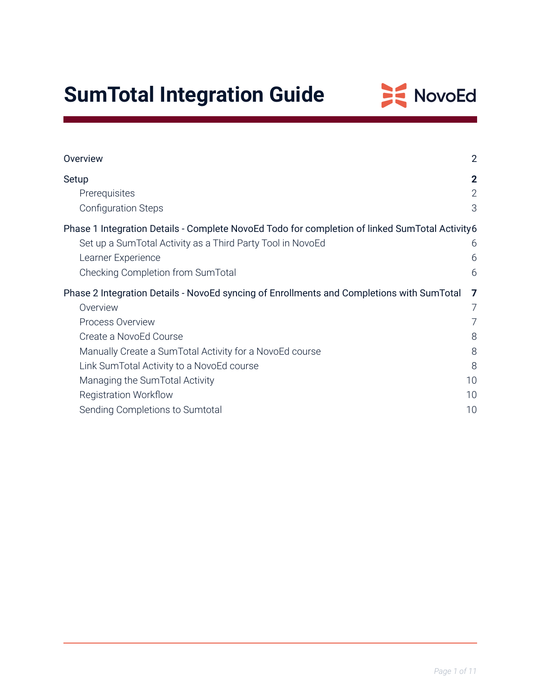# **SumTotal Integration Guide**



| Overview                                                                                       | $\overline{2}$ |
|------------------------------------------------------------------------------------------------|----------------|
| Setup                                                                                          | $\mathbf{2}$   |
| Prerequisites                                                                                  | $\overline{2}$ |
| <b>Configuration Steps</b>                                                                     | 3              |
| Phase 1 Integration Details - Complete NovoEd Todo for completion of linked SumTotal Activity6 |                |
| Set up a SumTotal Activity as a Third Party Tool in NovoEd                                     | 6              |
| Learner Experience                                                                             | 6              |
| Checking Completion from SumTotal                                                              | 6              |
|                                                                                                |                |
| Phase 2 Integration Details - NovoEd syncing of Enrollments and Completions with SumTotal      | 7              |
| Overview                                                                                       | $\overline{7}$ |
| Process Overview                                                                               |                |
| Create a NovoEd Course                                                                         | 8              |
| Manually Create a SumTotal Activity for a NovoEd course                                        | 8              |
| Link SumTotal Activity to a NovoEd course                                                      | 8              |
| Managing the SumTotal Activity                                                                 | 10             |
| <b>Registration Workflow</b>                                                                   | 10             |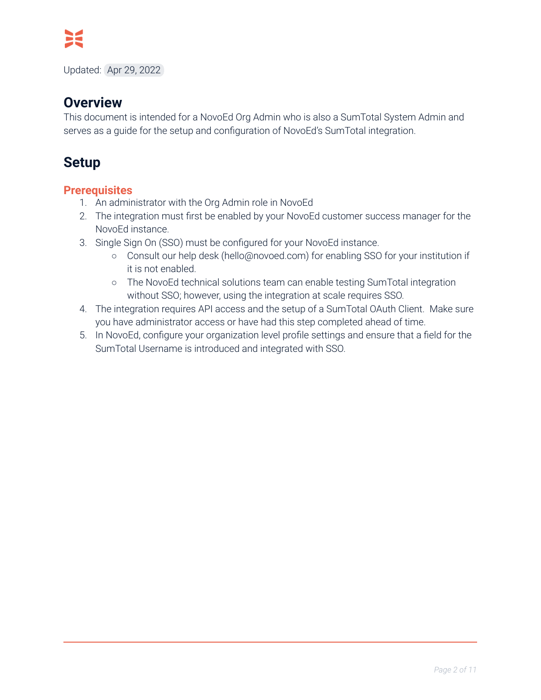

Updated: Apr 29, 2022

## **Overview**

This document is intended for a NovoEd Org Admin who is also a SumTotal System Admin and serves as a guide for the setup and configuration of NovoEd's SumTotal integration.

# <span id="page-1-0"></span>**Setup**

### <span id="page-1-1"></span>**Prerequisites**

- 1. An administrator with the Org Admin role in NovoEd
- 2. The integration must first be enabled by your NovoEd customer success manager for the NovoEd instance.
- 3. Single Sign On (SSO) must be configured for your NovoEd instance.
	- Consult our help desk (hello@novoed.com) for enabling SSO for your institution if it is not enabled.
	- The NovoEd technical solutions team can enable testing SumTotal integration without SSO; however, using the integration at scale requires SSO.
- 4. The integration requires API access and the setup of a SumTotal OAuth Client. Make sure you have administrator access or have had this step completed ahead of time.
- 5. In NovoEd, configure your organization level profile settings and ensure that a field for the SumTotal Username is introduced and integrated with SSO.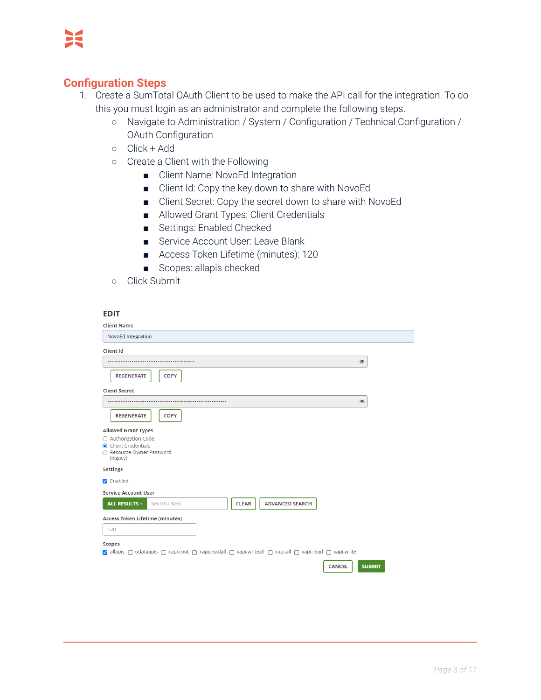### <span id="page-2-0"></span>**Configuration Steps**

- 1. Create a SumTotal OAuth Client to be used to make the API call for the integration. To do this you must login as an administrator and complete the following steps.
	- Navigate to Administration / System / Configuration / Technical Configuration / OAuth Configuration
	- Click + Add
	- Create a Client with the Following
		- Client Name: NovoEd Integration
		- Client Id: Copy the key down to share with NovoEd
		- Client Secret: Copy the secret down to share with NovoEd
		- Allowed Grant Types: Client Credentials
		- Settings: Enabled Checked
		- Service Account User: Leave Blank
		- Access Token Lifetime (minutes): 120
		- Scopes: allapis checked
	- Click Submit

#### **EDIT**

| <b>Client Name</b>                                                                                                                                                   |               |
|----------------------------------------------------------------------------------------------------------------------------------------------------------------------|---------------|
| NovoEd Integration                                                                                                                                                   |               |
| Client Id                                                                                                                                                            |               |
| $\circledast$<br>                                                                                                                                                    |               |
| <b>REGENERATE</b><br>COPY                                                                                                                                            |               |
| <b>Client Secret</b>                                                                                                                                                 |               |
| $\circledast$                                                                                                                                                        |               |
| <b>REGENERATE</b><br>COPY                                                                                                                                            |               |
| <b>Allowed Grant Types</b><br>○ Authorization Code<br>Client Credentials<br>○ Resource Owner Password<br>(legacy)                                                    |               |
| Settings                                                                                                                                                             |               |
| <b>Z</b> Enabled                                                                                                                                                     |               |
| <b>Service Account User</b>                                                                                                                                          |               |
| <b>ADVANCED SEARCH</b><br><b>CLEAR</b><br>ALL RESULTS ~<br><b>Search Users</b>                                                                                       |               |
| Access Token Lifetime (minutes)                                                                                                                                      |               |
| 120                                                                                                                                                                  |               |
| Scopes<br>allapis $\bigcap$ odataapis $\bigcap$ xapi:root $\bigcap$ xapi:readall $\bigcap$ xapi:writeall $\bigcap$ xapi:all $\bigcap$ xapi:read $\bigcap$ xapi:write |               |
| CANCEL                                                                                                                                                               | <b>SUBMIT</b> |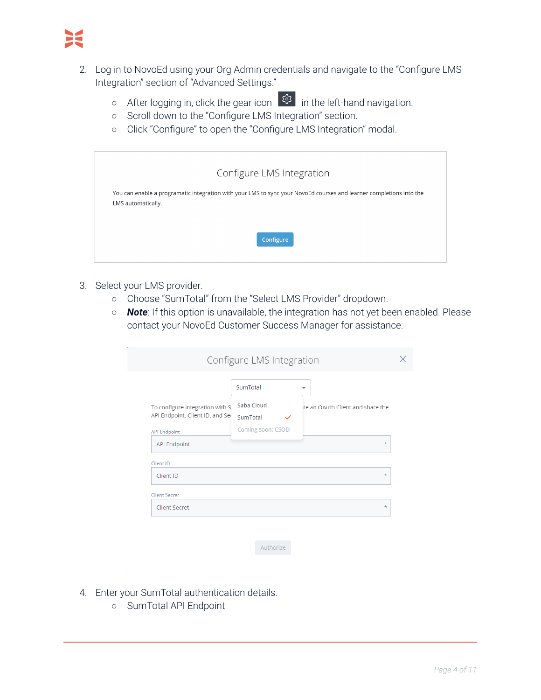- 2. Log in to NovoEd using your Org Admin credentials and navigate to the "Configure LMS Integration" section of "Advanced Settings."
	- o After logging in, click the gear icon  $\frac{100}{100}$  in the left-hand navigation.
	- Scroll down to the "Configure LMS Integration" section.
	- Click "Configure" to open the "Configure LMS Integration" modal.

| Configure LMS Integration                                                                                                                 |
|-------------------------------------------------------------------------------------------------------------------------------------------|
| You can enable a programatic integration with your LMS to sync your NovoEd courses and learner completions into the<br>LMS automatically. |
| Configure                                                                                                                                 |

- 3. Select your LMS provider.
	- Choose "SumTotal" from the "Select LMS Provider" dropdown.
	- *Note*: If this option is unavailable, the integration has not yet been enabled. Please contact your NovoEd Customer Success Manager for assistance.

|                                  | SumTotal          |                                  |
|----------------------------------|-------------------|----------------------------------|
| To configure integration with S  | Saba Cloud        | te an OAuth Client and share the |
| API Endpoint, Client ID, and Sec | SumTotal<br>✓     |                                  |
| API Endpoint                     | Coming soon: CSOD |                                  |
| <b>API Endpoint</b>              |                   | $\star$                          |
| Client ID                        |                   |                                  |
| Client ID                        |                   | $\star$                          |
|                                  |                   |                                  |

Authorize

- 4. Enter your SumTotal authentication details.
	- SumTotal API Endpoint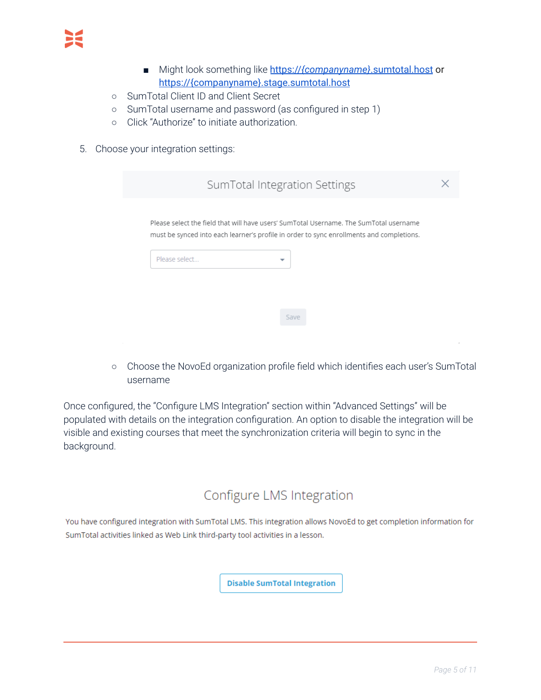- Might look something like https://*{companyname}*.sumtotal.host or https://{companyname}.stage.sumtotal.host
- SumTotal Client ID and Client Secret
- SumTotal username and password (as configured in step 1)
- Click "Authorize" to initiate authorization.
- 5. Choose your integration settings:

|               | SumTotal Integration Settings                                                            |  |
|---------------|------------------------------------------------------------------------------------------|--|
|               | Please select the field that will have users' SumTotal Username. The SumTotal username   |  |
|               | must be synced into each learner's profile in order to sync enrollments and completions. |  |
| Please select |                                                                                          |  |

○ Choose the NovoEd organization profile field which identifies each user's SumTotal username

Once configured, the "Configure LMS Integration" section within "Advanced Settings" will be populated with details on the integration configuration. An option to disable the integration will be visible and existing courses that meet the synchronization criteria will begin to sync in the background.

# Configure LMS Integration

You have configured integration with SumTotal LMS. This integration allows NovoEd to get completion information for SumTotal activities linked as Web Link third-party tool activities in a lesson.

**Disable SumTotal Integration**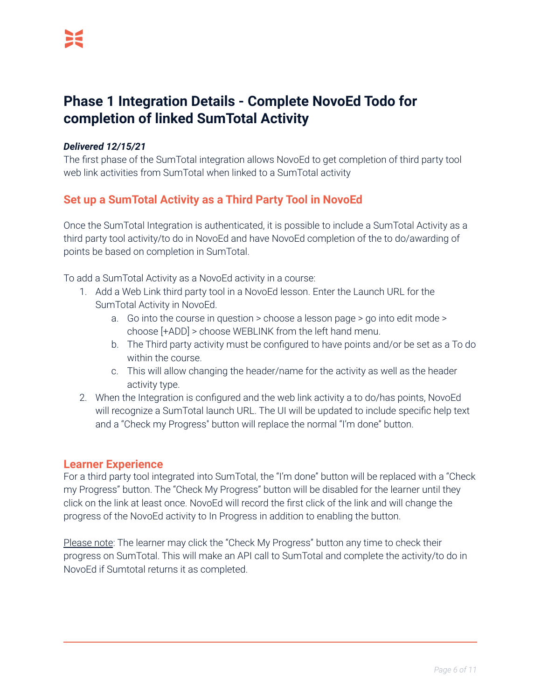# <span id="page-5-0"></span>**Phase 1 Integration Details - Complete NovoEd Todo for completion of linked SumTotal Activity**

#### *Delivered 12/15/21*

The first phase of the SumTotal integration allows NovoEd to get completion of third party tool web link activities from SumTotal when linked to a SumTotal activity

### <span id="page-5-1"></span>**Set up a SumTotal Activity as a Third Party Tool in NovoEd**

Once the SumTotal Integration is authenticated, it is possible to include a SumTotal Activity as a third party tool activity/to do in NovoEd and have NovoEd completion of the to do/awarding of points be based on completion in SumTotal.

To add a SumTotal Activity as a NovoEd activity in a course:

- 1. Add a Web Link third party tool in a NovoEd lesson. Enter the Launch URL for the SumTotal Activity in NovoEd.
	- a. Go into the course in question > choose a lesson page > go into edit mode > choose [+ADD] > choose WEBLINK from the left hand menu.
	- b. The Third party activity must be configured to have points and/or be set as a To do within the course.
	- c. This will allow changing the header/name for the activity as well as the header activity type.
- 2. When the Integration is configured and the web link activity a to do/has points, NovoEd will recognize a SumTotal launch URL. The UI will be updated to include specific help text and a "Check my Progress'' button will replace the normal "I'm done" button.

#### <span id="page-5-2"></span>**Learner Experience**

For a third party tool integrated into SumTotal, the "I'm done" button will be replaced with a "Check my Progress" button. The "Check My Progress" button will be disabled for the learner until they click on the link at least once. NovoEd will record the first click of the link and will change the progress of the NovoEd activity to In Progress in addition to enabling the button.

Please note: The learner may click the "Check My Progress" button any time to check their progress on SumTotal. This will make an API call to SumTotal and complete the activity/to do in NovoEd if Sumtotal returns it as completed.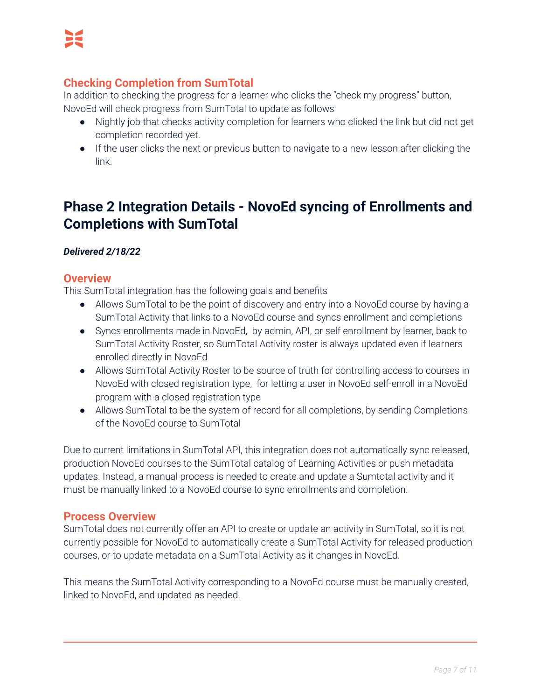### <span id="page-6-0"></span>**Checking Completion from SumTotal**

In addition to checking the progress for a learner who clicks the "check my progress" button, NovoEd will check progress from SumTotal to update as follows

- Nightly job that checks activity completion for learners who clicked the link but did not get completion recorded yet.
- If the user clicks the next or previous button to navigate to a new lesson after clicking the link.

# <span id="page-6-1"></span>**Phase 2 Integration Details - NovoEd syncing of Enrollments and Completions with SumTotal**

### <span id="page-6-2"></span>*Delivered 2/18/22*

### **Overview**

This SumTotal integration has the following goals and benefits

- Allows SumTotal to be the point of discovery and entry into a NovoEd course by having a SumTotal Activity that links to a NovoEd course and syncs enrollment and completions
- Syncs enrollments made in NovoEd, by admin, API, or self enrollment by learner, back to SumTotal Activity Roster, so SumTotal Activity roster is always updated even if learners enrolled directly in NovoEd
- Allows SumTotal Activity Roster to be source of truth for controlling access to courses in NovoEd with closed registration type, for letting a user in NovoEd self-enroll in a NovoEd program with a closed registration type
- Allows SumTotal to be the system of record for all completions, by sending Completions of the NovoEd course to SumTotal

Due to current limitations in SumTotal API, this integration does not automatically sync released, production NovoEd courses to the SumTotal catalog of Learning Activities or push metadata updates. Instead, a manual process is needed to create and update a Sumtotal activity and it must be manually linked to a NovoEd course to sync enrollments and completion.

### <span id="page-6-3"></span>**Process Overview**

SumTotal does not currently offer an API to create or update an activity in SumTotal, so it is not currently possible for NovoEd to automatically create a SumTotal Activity for released production courses, or to update metadata on a SumTotal Activity as it changes in NovoEd.

This means the SumTotal Activity corresponding to a NovoEd course must be manually created, linked to NovoEd, and updated as needed.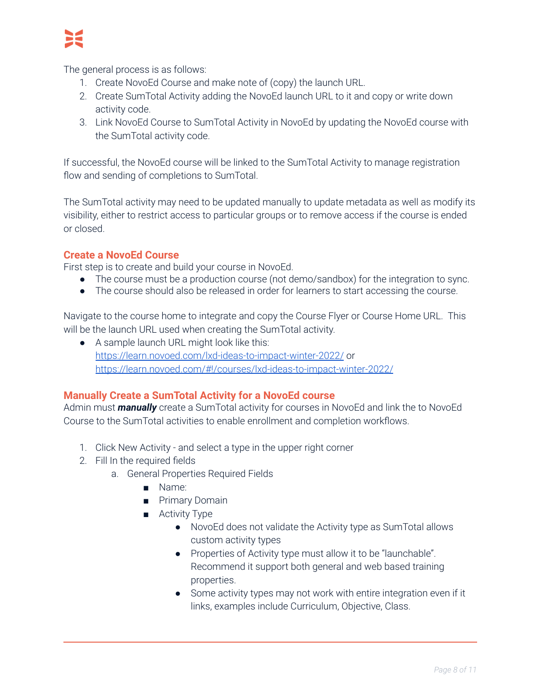

The general process is as follows:

- 1. Create NovoEd Course and make note of (copy) the launch URL.
- 2. Create SumTotal Activity adding the NovoEd launch URL to it and copy or write down activity code.
- 3. Link NovoEd Course to SumTotal Activity in NovoEd by updating the NovoEd course with the SumTotal activity code.

If successful, the NovoEd course will be linked to the SumTotal Activity to manage registration flow and sending of completions to SumTotal.

The SumTotal activity may need to be updated manually to update metadata as well as modify its visibility, either to restrict access to particular groups or to remove access if the course is ended or closed.

### <span id="page-7-0"></span>**Create a NovoEd Course**

First step is to create and build your course in NovoEd.

- The course must be a production course (not demo/sandbox) for the integration to sync.
- The course should also be released in order for learners to start accessing the course.

Navigate to the course home to integrate and copy the Course Flyer or Course Home URL. This will be the launch URL used when creating the SumTotal activity.

● A sample launch URL might look like this: <https://learn.novoed.com/lxd-ideas-to-impact-winter-2022/> or <https://learn.novoed.com/#!/courses/lxd-ideas-to-impact-winter-2022/>

### <span id="page-7-1"></span>**Manually Create a SumTotal Activity for a NovoEd course**

Admin must *manually* create a SumTotal activity for courses in NovoEd and link the to NovoEd Course to the SumTotal activities to enable enrollment and completion workflows.

- 1. Click New Activity and select a type in the upper right corner
- 2. Fill In the required fields
	- a. General Properties Required Fields
		- Name:
		- Primary Domain
		- Activity Type
			- NovoEd does not validate the Activity type as SumTotal allows custom activity types
			- Properties of Activity type must allow it to be "launchable". Recommend it support both general and web based training properties.
			- Some activity types may not work with entire integration even if it links, examples include Curriculum, Objective, Class.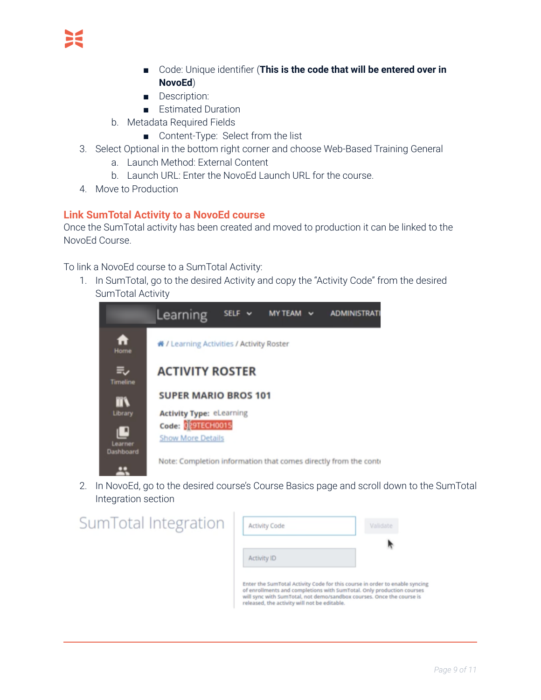- Code: Unique identifier (**This is the code that will be entered over in NovoEd**)
- Description:
- Estimated Duration
- b. Metadata Required Fields
	- Content-Type: Select from the list
- 3. Select Optional in the bottom right corner and choose Web-Based Training General
	- a. Launch Method: External Content
	- b. Launch URL: Enter the NovoEd Launch URL for the course.
- 4. Move to Production

### <span id="page-8-0"></span>**Link SumTotal Activity to a NovoEd course**

Once the SumTotal activity has been created and moved to production it can be linked to the NovoEd Course.

To link a NovoEd course to a SumTotal Activity:

1. In SumTotal, go to the desired Activity and copy the "Activity Code" from the desired SumTotal Activity



2. In NovoEd, go to the desired course's Course Basics page and scroll down to the SumTotal Integration section

| SumTotal Integration | <b>Activity Code</b>                         | Validate                                                                                                                                                                                                                      |
|----------------------|----------------------------------------------|-------------------------------------------------------------------------------------------------------------------------------------------------------------------------------------------------------------------------------|
|                      | <b>Activity ID</b>                           |                                                                                                                                                                                                                               |
|                      |                                              |                                                                                                                                                                                                                               |
|                      | released, the activity will not be editable. | Enter the SumTotal Activity Code for this course in order to enable syncing<br>of enrollments and completions with SumTotal. Only production courses<br>will sync with SumTotal, not demo/sandbox courses. Once the course is |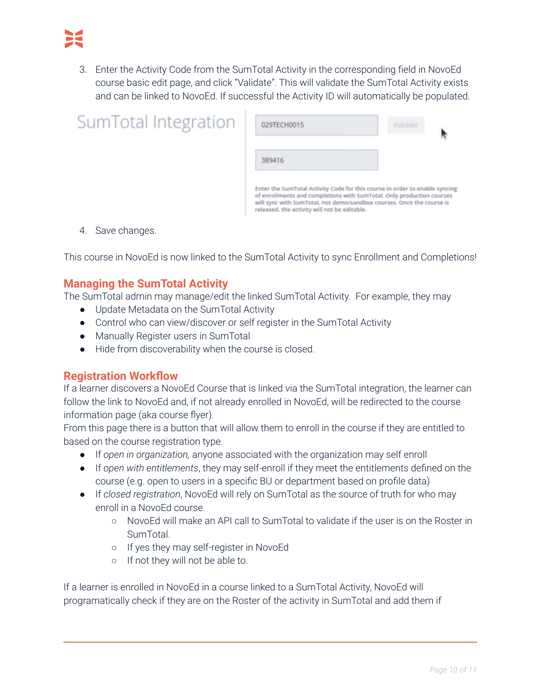3. Enter the Activity Code from the SumTotal Activity in the corresponding field in NovoEd course basic edit page, and click "Validate". This will validate the SumTotal Activity exists and can be linked to NovoEd. If successful the Activity ID will automatically be populated.

| SumTotal Integration | 029TECH0015                                                                                                                                                                                                                                                                   | Validate |
|----------------------|-------------------------------------------------------------------------------------------------------------------------------------------------------------------------------------------------------------------------------------------------------------------------------|----------|
|                      | 389416                                                                                                                                                                                                                                                                        |          |
|                      | Enter the SumTotal Activity Code for this course in order to enable syncing<br>of enrollments and completions with SumTotal. Only production courses<br>will sync with SumTotal, not demo/sandbox courses. Once the course is<br>released, the activity will not be editable. |          |

4. Save changes.

<span id="page-9-0"></span>This course in NovoEd is now linked to the SumTotal Activity to sync Enrollment and Completions!

### **Managing the SumTotal Activity**

The SumTotal admin may manage/edit the linked SumTotal Activity. For example, they may

- Update Metadata on the SumTotal Activity
- Control who can view/discover or self register in the SumTotal Activity
- Manually Register users in SumTotal
- Hide from discoverability when the course is closed.

### <span id="page-9-1"></span>**Registration Workflow**

If a learner discovers a NovoEd Course that is linked via the SumTotal integration, the learner can follow the link to NovoEd and, if not already enrolled in NovoEd, will be redirected to the course information page (aka course flyer).

From this page there is a button that will allow them to enroll in the course if they are entitled to based on the course registration type.

- If *open in organization,* anyone associated with the organization may self enroll
- If *open with entitlements*, they may self-enroll if they meet the entitlements defined on the course (e.g. open to users in a specific BU or department based on profile data)
- If *closed registration*, NovoEd will rely on SumTotal as the source of truth for who may enroll in a NovoEd course.
	- NovoEd will make an API call to SumTotal to validate if the user is on the Roster in SumTotal.
	- If yes they may self-register in NovoEd
	- If not they will not be able to.

If a learner is enrolled in NovoEd in a course linked to a SumTotal Activity, NovoEd will programatically check if they are on the Roster of the activity in SumTotal and add them if